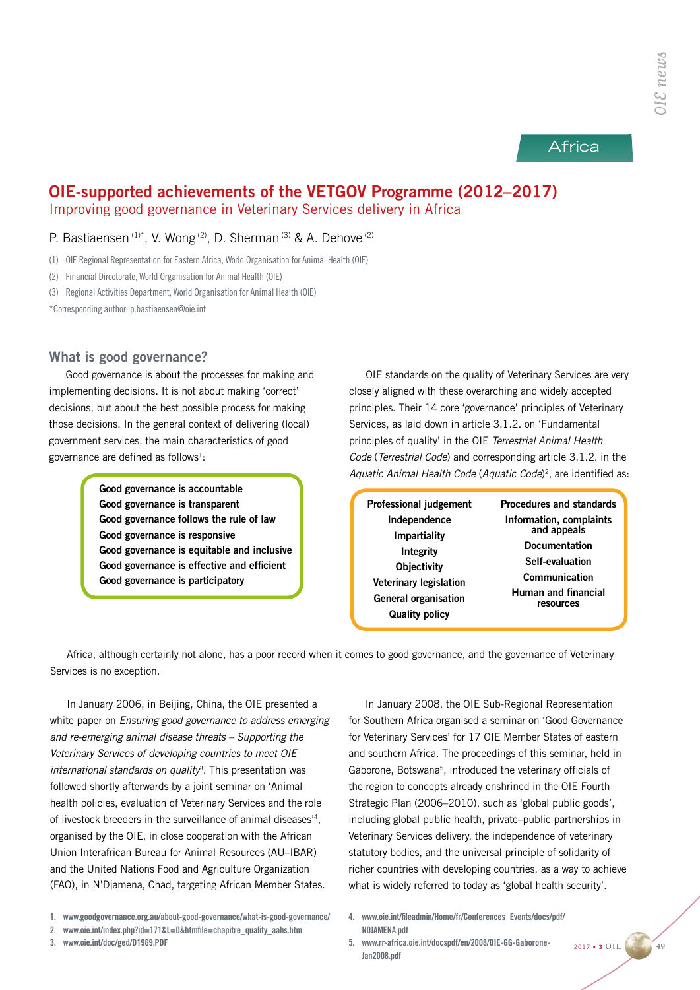# Africa

# OIE-supported achievements of the VETGOV Programme (2012–2017) Improving good governance in Veterinary Services delivery in Africa

# P. Bastiaensen<sup>(1)\*</sup>, V. Wong<sup>(2)</sup>, D. Sherman<sup>(3)</sup> & A. Dehove<sup>(2)</sup>

(1) OIE Regional Representation for Eastern Africa, World Organisation for Animal Health (OIE)

(2) Financial Directorate, World Organisation for Animal Health (OIE)

(3) Regional Activities Department, World Organisation for Animal Health (OIE)

\*Corresponding author: p.bastiaensen@oie.int

# What is good governance?

Good governance is about the processes for making and implementing decisions. It is not about making 'correct' decisions, but about the best possible process for making those decisions. In the general context of delivering (local) government services, the main characteristics of good governance are defined as follows $1$ :

> Good governance is accountable Good governance is transparent Good governance follows the rule of law Good governance is responsive Good governance is equitable and inclusive Good governance is effective and efficient Good governance is participatory

OIE standards on the quality of Veterinary Services are very closely aligned with these overarching and widely accepted principles. Their 14 core 'governance' principles of Veterinary Services, as laid down in article 3.1.2. on 'Fundamental principles of quality' in the OIE *Terrestrial Animal Health Code* (*Terrestrial Code*) and corresponding article 3.1.2. in the *Aquatic Animal Health Code* (*Aquatic Code*) 2, are identified as:

| <b>Professional judgement</b>                                                         | <b>Procedures and standards</b>                   |  |
|---------------------------------------------------------------------------------------|---------------------------------------------------|--|
| Independence                                                                          | Information, complaints                           |  |
| <b>Impartiality</b>                                                                   | and appeals                                       |  |
| <b>Integrity</b>                                                                      | <b>Documentation</b>                              |  |
| <b>Objectivity</b>                                                                    | Self-evaluation                                   |  |
| <b>Veterinary legislation</b><br><b>General organisation</b><br><b>Quality policy</b> | Communication<br>Human and financial<br>resources |  |
|                                                                                       |                                                   |  |

Africa, although certainly not alone, has a poor record when it comes to good governance, and the governance of Veterinary Services is no exception.

In January 2006, in Beijing, China, the OIE presented a white paper on *Ensuring good governance to address emerging and re-emerging animal disease threats – Supporting the Veterinary Services of developing countries to meet OIE international standards on quality*3. This presentation was followed shortly afterwards by a joint seminar on 'Animal health policies, evaluation of Veterinary Services and the role of livestock breeders in the surveillance of animal diseases'4, organised by the OIE, in close cooperation with the African Union Interafrican Bureau for Animal Resources (AU–IBAR) and the United Nations Food and Agriculture Organization (FAO), in N'Djamena, Chad, targeting African Member States.

2. www.oie.int/index.php?id=171&L=0&htmfile=chapitre\_quality\_aahs.htm

3. www.oie.int/doc/ged/D1969.PDF

In January 2008, the OIE Sub-Regional Representation for Southern Africa organised a seminar on 'Good Governance for Veterinary Services' for 17 OIE Member States of eastern and southern Africa. The proceedings of this seminar, held in Gaborone, Botswana<sup>5</sup>, introduced the veterinary officials of the region to concepts already enshrined in the OIE Fourth Strategic Plan (2006–2010), such as 'global public goods', including global public health, private–public partnerships in Veterinary Services delivery, the independence of veterinary statutory bodies, and the universal principle of solidarity of richer countries with developing countries, as a way to achieve what is widely referred to today as 'global health security'.

- 4. www.oie.int/fileadmin/Home/fr/Conferences\_Events/docs/pdf/ NDJAMENA.pdf
- 5. www.rr-africa.oie.int/docspdf/en/2008/OIE-GG-Gaborone-Jan2008.pdf

2017 • 3 **OIE 49**

<sup>1.</sup> www.goodgovernance.org.au/about-good-governance/what-is-good-governance/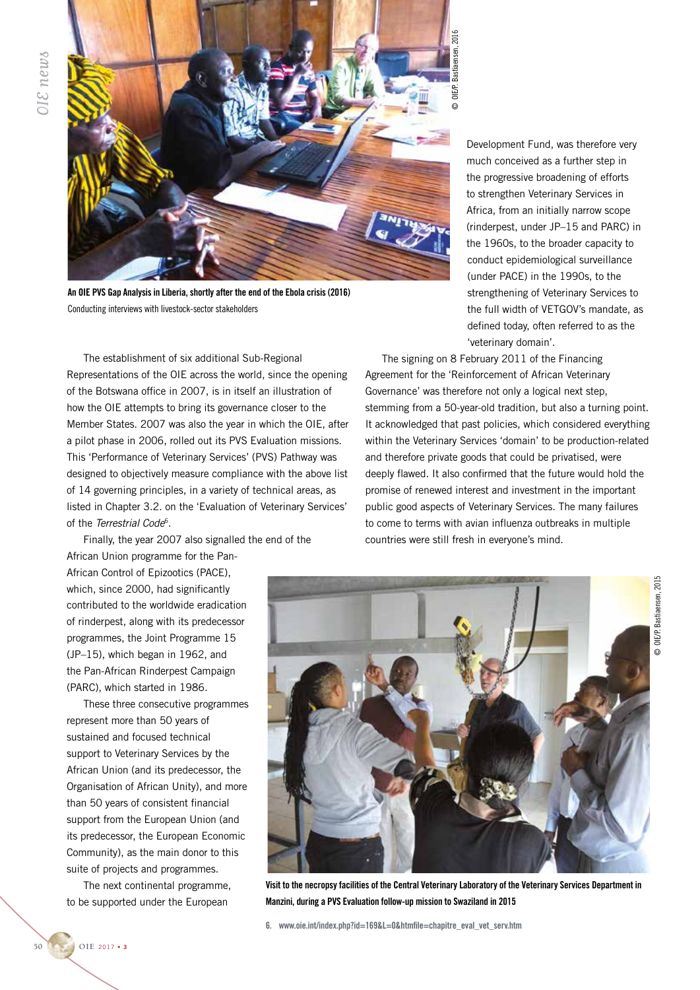

An OIE PVS Gap Analysis in Liberia, shortly after the end of the Ebola crisis (2016) Conducting interviews with livestock-sector stakeholders

The establishment of six additional Sub-Regional Representations of the OIE across the world, since the opening of the Botswana office in 2007, is in itself an illustration of how the OIE attempts to bring its governance closer to the Member States. 2007 was also the year in which the OIE, after a pilot phase in 2006, rolled out its PVS Evaluation missions. This 'Performance of Veterinary Services' (PVS) Pathway was designed to objectively measure compliance with the above list of 14 governing principles, in a variety of technical areas, as listed in Chapter 3.2. on the 'Evaluation of Veterinary Services' of the *Terrestrial Code*6.

Finally, the year 2007 also signalled the end of the African Union programme for the Pan-

African Control of Epizootics (PACE), which, since 2000, had significantly contributed to the worldwide eradication of rinderpest, along with its predecessor programmes, the Joint Programme 15 (JP–15), which began in 1962, and the Pan-African Rinderpest Campaign (PARC), which started in 1986.

These three consecutive programmes represent more than 50 years of sustained and focused technical support to Veterinary Services by the African Union (and its predecessor, the Organisation of African Unity), and more than 50 years of consistent financial support from the European Union (and its predecessor, the European Economic Community), as the main donor to this suite of projects and programmes.

The next continental programme, to be supported under the European

Development Fund, was therefore very much conceived as a further step in the progressive broadening of efforts to strengthen Veterinary Services in Africa, from an initially narrow scope (rinderpest, under JP–15 and PARC) in the 1960s, to the broader capacity to conduct epidemiological surveillance (under PACE) in the 1990s, to the strengthening of Veterinary Services to the full width of VETGOV's mandate, as defined today, often referred to as the 'veterinary domain'.

The signing on 8 February 2011 of the Financing Agreement for the 'Reinforcement of African Veterinary Governance' was therefore not only a logical next step, stemming from a 50-year-old tradition, but also a turning point. It acknowledged that past policies, which considered everything within the Veterinary Services 'domain' to be production-related and therefore private goods that could be privatised, were deeply flawed. It also confirmed that the future would hold the promise of renewed interest and investment in the important public good aspects of Veterinary Services. The many failures to come to terms with avian influenza outbreaks in multiple countries were still fresh in everyone's mind.

 $\odot$ 



Visit to the necropsy facilities of the Central Veterinary Laboratory of the Veterinary Services Department in

6. www.oie.int/index.php?id=169&L=0&htmfile=chapitre\_eval\_vet\_serv.htm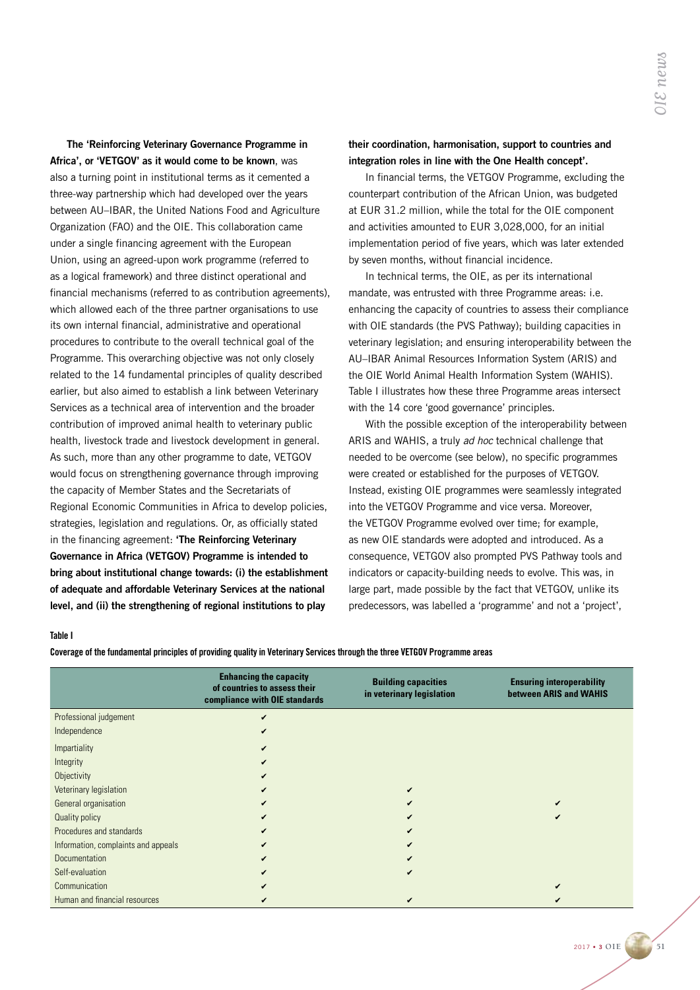The 'Reinforcing Veterinary Governance Programme in Africa', or 'VETGOV' as it would come to be known, was also a turning point in institutional terms as it cemented a three-way partnership which had developed over the years between AU–IBAR, the United Nations Food and Agriculture Organization (FAO) and the OIE. This collaboration came under a single financing agreement with the European Union, using an agreed-upon work programme (referred to as a logical framework) and three distinct operational and financial mechanisms (referred to as contribution agreements), which allowed each of the three partner organisations to use its own internal financial, administrative and operational procedures to contribute to the overall technical goal of the Programme. This overarching objective was not only closely related to the 14 fundamental principles of quality described earlier, but also aimed to establish a link between Veterinary Services as a technical area of intervention and the broader contribution of improved animal health to veterinary public health, livestock trade and livestock development in general. As such, more than any other programme to date, VETGOV would focus on strengthening governance through improving the capacity of Member States and the Secretariats of Regional Economic Communities in Africa to develop policies, strategies, legislation and regulations. Or, as officially stated in the financing agreement: 'The Reinforcing Veterinary Governance in Africa (VETGOV) Programme is intended to bring about institutional change towards: (i) the establishment of adequate and affordable Veterinary Services at the national level, and (ii) the strengthening of regional institutions to play

## their coordination, harmonisation, support to countries and integration roles in line with the One Health concept'.

In financial terms, the VETGOV Programme, excluding the counterpart contribution of the African Union, was budgeted at EUR 31.2 million, while the total for the OIE component and activities amounted to EUR 3,028,000, for an initial implementation period of five years, which was later extended by seven months, without financial incidence.

In technical terms, the OIE, as per its international mandate, was entrusted with three Programme areas: i.e. enhancing the capacity of countries to assess their compliance with OIE standards (the PVS Pathway); building capacities in veterinary legislation; and ensuring interoperability between the AU–IBAR Animal Resources Information System (ARIS) and the OIE World Animal Health Information System (WAHIS). Table I illustrates how these three Programme areas intersect with the 14 core 'good governance' principles.

With the possible exception of the interoperability between ARIS and WAHIS, a truly *ad hoc* technical challenge that needed to be overcome (see below), no specific programmes were created or established for the purposes of VETGOV. Instead, existing OIE programmes were seamlessly integrated into the VETGOV Programme and vice versa. Moreover, the VETGOV Programme evolved over time; for example, as new OIE standards were adopted and introduced. As a consequence, VETGOV also prompted PVS Pathway tools and indicators or capacity-building needs to evolve. This was, in large part, made possible by the fact that VETGOV, unlike its predecessors, was labelled a 'programme' and not a 'project',

### Table I

Coverage of the fundamental principles of providing quality in Veterinary Services through the three VETGOV Programme areas

|                                     | <b>Enhancing the capacity</b><br>of countries to assess their<br>compliance with OIE standards | <b>Building capacities</b><br>in veterinary legislation | <b>Ensuring interoperability</b><br>between ARIS and WAHIS |
|-------------------------------------|------------------------------------------------------------------------------------------------|---------------------------------------------------------|------------------------------------------------------------|
| Professional judgement              |                                                                                                |                                                         |                                                            |
| Independence                        |                                                                                                |                                                         |                                                            |
| Impartiality                        |                                                                                                |                                                         |                                                            |
| Integrity                           |                                                                                                |                                                         |                                                            |
| Objectivity                         |                                                                                                |                                                         |                                                            |
| Veterinary legislation              |                                                                                                |                                                         |                                                            |
| General organisation                |                                                                                                |                                                         |                                                            |
| Quality policy                      |                                                                                                |                                                         |                                                            |
| Procedures and standards            |                                                                                                |                                                         |                                                            |
| Information, complaints and appeals |                                                                                                |                                                         |                                                            |
| <b>Documentation</b>                |                                                                                                |                                                         |                                                            |
| Self-evaluation                     |                                                                                                |                                                         |                                                            |
| Communication                       |                                                                                                |                                                         |                                                            |
| Human and financial resources       |                                                                                                |                                                         |                                                            |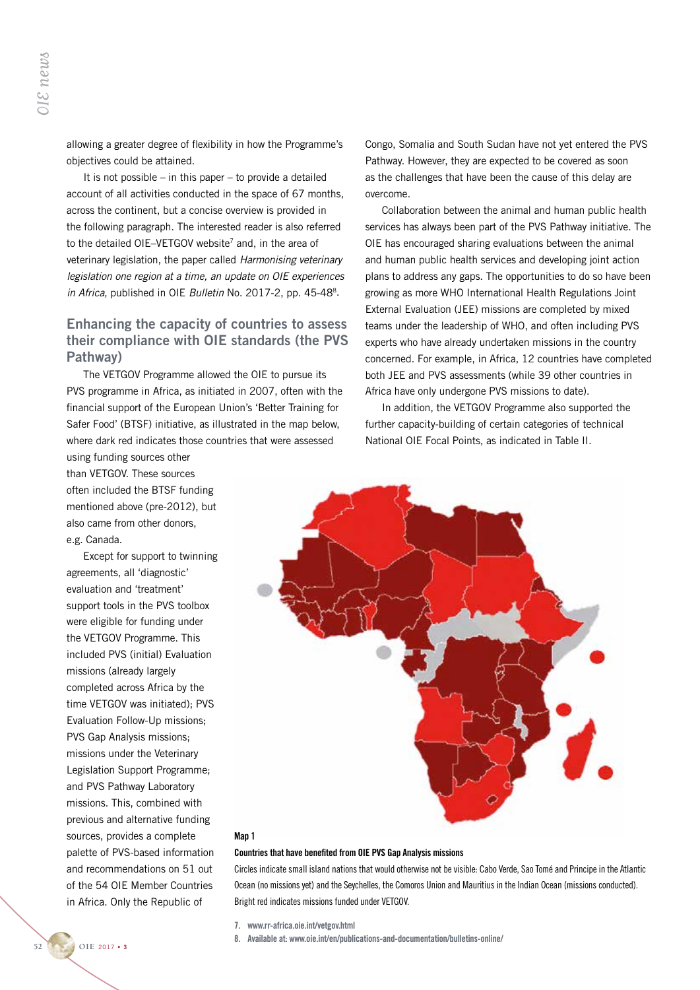allowing a greater degree of flexibility in how the Programme's objectives could be attained.

It is not possible – in this paper – to provide a detailed account of all activities conducted in the space of 67 months, across the continent, but a concise overview is provided in the following paragraph. The interested reader is also referred to the detailed OIE–VETGOV website<sup>7</sup> and, in the area of veterinary legislation, the paper called *Harmonising veterinary legislation one region at a time, an update on OIE experiences in Africa*, published in OIE *Bulletin* No. 2017-2, pp. 45-488.

# Enhancing the capacity of countries to assess their compliance with OIE standards (the PVS Pathway)

The VETGOV Programme allowed the OIE to pursue its PVS programme in Africa, as initiated in 2007, often with the financial support of the European Union's 'Better Training for Safer Food' (BTSF) initiative, as illustrated in the map below, where dark red indicates those countries that were assessed

using funding sources other than VETGOV. These sources often included the BTSF funding mentioned above (pre-2012), but also came from other donors, e.g. Canada.

Except for support to twinning agreements, all 'diagnostic' evaluation and 'treatment' support tools in the PVS toolbox were eligible for funding under the VETGOV Programme. This included PVS (initial) Evaluation missions (already largely completed across Africa by the time VETGOV was initiated); PVS Evaluation Follow-Up missions; PVS Gap Analysis missions; missions under the Veterinary Legislation Support Programme; and PVS Pathway Laboratory missions. This, combined with previous and alternative funding sources, provides a complete palette of PVS-based information and recommendations on 51 out of the 54 OIE Member Countries in Africa. Only the Republic of **52 52 CONTROM SET ASSEMBLARED SERVIDE SERVIDE SERVIDE SERVIDE SERVIDE DESCRIPTION DESCRIPTION DESCRIPTION DESCRIPTION DESCRIPTION SERVIDE DRIVIDE AND SERVIDE DURING THE VETGOV ofter include method as local come from e** 

Congo, Somalia and South Sudan have not yet entered the PVS Pathway. However, they are expected to be covered as soon as the challenges that have been the cause of this delay are overcome.

Collaboration between the animal and human public health services has always been part of the PVS Pathway initiative. The OIE has encouraged sharing evaluations between the animal and human public health services and developing joint action plans to address any gaps. The opportunities to do so have been growing as more WHO International Health Regulations Joint External Evaluation (JEE) missions are completed by mixed teams under the leadership of WHO, and often including PVS experts who have already undertaken missions in the country concerned. For example, in Africa, 12 countries have completed both JEE and PVS assessments (while 39 other countries in Africa have only undergone PVS missions to date).

In addition, the VETGOV Programme also supported the further capacity-building of certain categories of technical National OIE Focal Points, as indicated in Table II.



#### Man<sub>1</sub>

#### Countries that have benefited from OIE PVS Gap Analysis missions

Circles indicate small island nations that would otherwise not be visible: Cabo Verde, Sao Tomé and Principe in the Atlantic Ocean (no missions yet) and the Seychelles, the Comoros Union and Mauritius in the Indian Ocean (missions conducted). Bright red indicates missions funded under VETGOV.

7. www.rr-africa.oie.int/vetgov.html

8. Available at: www.oie.int/en/publications-and-documentation/bulletins-online/

OIE 2017 . 3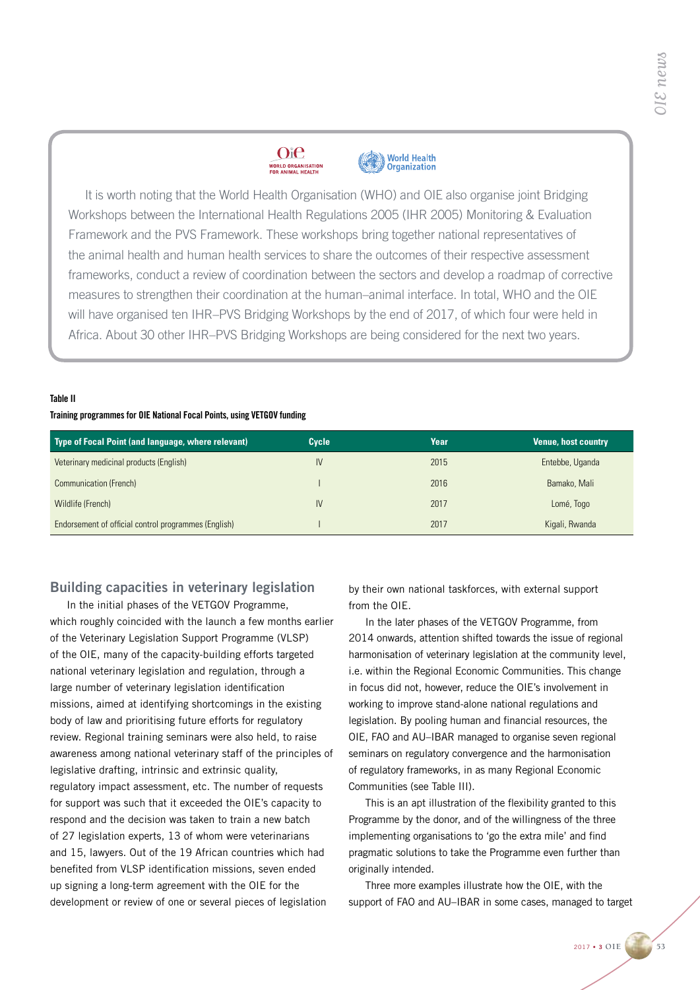## $O<sub>i</sub>$  $e$ **WORLD ORGANISATION**<br>FOR ANIMAL HEALTH



It is worth noting that the World Health Organisation (WHO) and OIE also organise joint Bridging Workshops between the International Health Regulations 2005 (IHR 2005) Monitoring & Evaluation Framework and the PVS Framework. These workshops bring together national representatives of the animal health and human health services to share the outcomes of their respective assessment frameworks, conduct a review of coordination between the sectors and develop a roadmap of corrective measures to strengthen their coordination at the human–animal interface. In total, WHO and the OIE will have organised ten IHR–PVS Bridging Workshops by the end of 2017, of which four were held in Africa. About 30 other IHR–PVS Bridging Workshops are being considered for the next two years.

## Table II

## Training programmes for OIE National Focal Points, using VETGOV funding

| Type of Focal Point (and language, where relevant)   | Cycle | Year | <b>Venue, host country</b> |
|------------------------------------------------------|-------|------|----------------------------|
| Veterinary medicinal products (English)              | IV    | 2015 | Entebbe, Uganda            |
| Communication (French)                               |       | 2016 | Bamako, Mali               |
| Wildlife (French)                                    | IV    | 2017 | Lomé, Togo                 |
| Endorsement of official control programmes (English) |       | 2017 | Kigali, Rwanda             |

# Building capacities in veterinary legislation

In the initial phases of the VETGOV Programme, which roughly coincided with the launch a few months earlier of the Veterinary Legislation Support Programme (VLSP) of the OIE, many of the capacity-building efforts targeted national veterinary legislation and regulation, through a large number of veterinary legislation identification missions, aimed at identifying shortcomings in the existing body of law and prioritising future efforts for regulatory review. Regional training seminars were also held, to raise awareness among national veterinary staff of the principles of legislative drafting, intrinsic and extrinsic quality, regulatory impact assessment, etc. The number of requests for support was such that it exceeded the OIE's capacity to respond and the decision was taken to train a new batch of 27 legislation experts, 13 of whom were veterinarians and 15, lawyers. Out of the 19 African countries which had benefited from VLSP identification missions, seven ended up signing a long-term agreement with the OIE for the development or review of one or several pieces of legislation

by their own national taskforces, with external support from the OIE.

In the later phases of the VETGOV Programme, from 2014 onwards, attention shifted towards the issue of regional harmonisation of veterinary legislation at the community level, i.e. within the Regional Economic Communities. This change in focus did not, however, reduce the OIE's involvement in working to improve stand-alone national regulations and legislation. By pooling human and financial resources, the OIE, FAO and AU–IBAR managed to organise seven regional seminars on regulatory convergence and the harmonisation of regulatory frameworks, in as many Regional Economic Communities (see Table III).

This is an apt illustration of the flexibility granted to this Programme by the donor, and of the willingness of the three implementing organisations to 'go the extra mile' and find pragmatic solutions to take the Programme even further than originally intended.

Three more examples illustrate how the OIE, with the support of FAO and AU–IBAR in some cases, managed to target

2017 • 3 **OIE 53**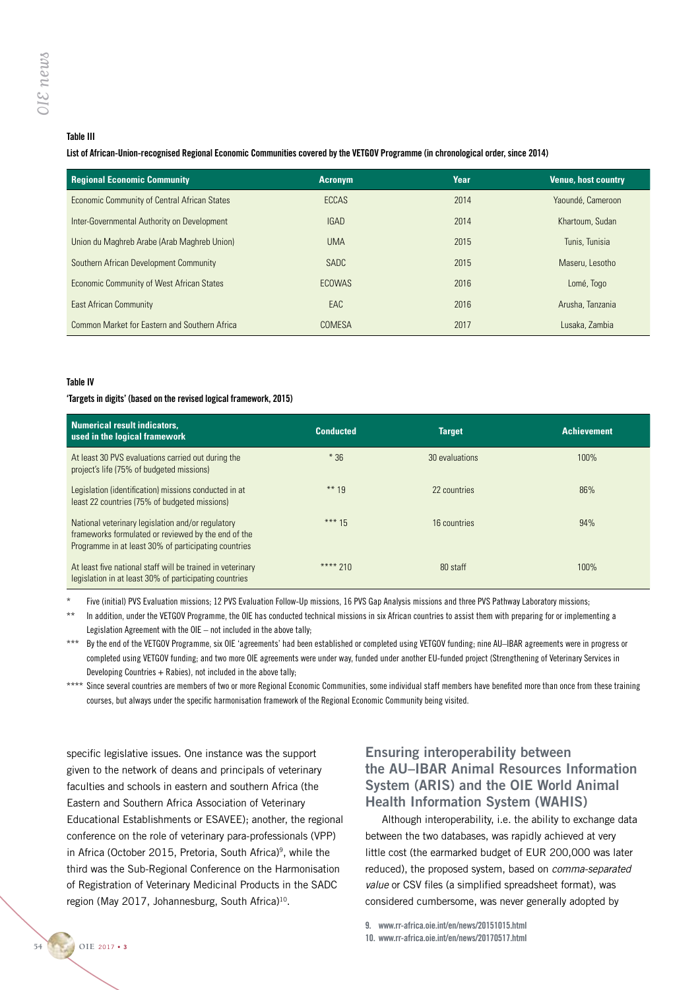## Table III

### List of African-Union-recognised Regional Economic Communities covered by the VETGOV Programme (in chronological order, since 2014)

| <b>Regional Economic Community</b>            | <b>Acronym</b> | Year | <b>Venue, host country</b> |
|-----------------------------------------------|----------------|------|----------------------------|
| Economic Community of Central African States  | <b>ECCAS</b>   | 2014 | Yaoundé, Cameroon          |
| Inter-Governmental Authority on Development   | <b>IGAD</b>    | 2014 | Khartoum, Sudan            |
| Union du Maghreb Arabe (Arab Maghreb Union)   | <b>UMA</b>     | 2015 | Tunis, Tunisia             |
| Southern African Development Community        | <b>SADC</b>    | 2015 | Maseru, Lesotho            |
| Economic Community of West African States     | <b>ECOWAS</b>  | 2016 | Lomé, Togo                 |
| <b>East African Community</b>                 | EAC            | 2016 | Arusha, Tanzania           |
| Common Market for Eastern and Southern Africa | <b>COMESA</b>  | 2017 | Lusaka, Zambia             |

### Table IV

#### 'Targets in digits' (based on the revised logical framework, 2015)

| Numerical result indicators,<br>used in the logical framework                                                                                                    | <b>Conducted</b> | <b>Target</b>  | <b>Achievement</b> |
|------------------------------------------------------------------------------------------------------------------------------------------------------------------|------------------|----------------|--------------------|
| At least 30 PVS evaluations carried out during the<br>project's life (75% of budgeted missions)                                                                  | $*36$            | 30 evaluations | 100%               |
| Legislation (identification) missions conducted in at<br>least 22 countries (75% of budgeted missions)                                                           | ** 19            | 22 countries   | 86%                |
| National veterinary legislation and/or regulatory<br>frameworks formulated or reviewed by the end of the<br>Programme in at least 30% of participating countries | *** $15$         | 16 countries   | 94%                |
| At least five national staff will be trained in veterinary<br>legislation in at least 30% of participating countries                                             | **** 210         | 80 staff       | 100%               |

Five (initial) PVS Evaluation missions: 12 PVS Evaluation Follow-Up missions, 16 PVS Gap Analysis missions and three PVS Pathway Laboratory missions:

- In addition, under the VETGOV Programme, the OIE has conducted technical missions in six African countries to assist them with preparing for or implementing a Legislation Agreement with the OIE – not included in the above tally;
- \*\*\* By the end of the VETGOV Programme, six OIE 'agreements' had been established or completed using VETGOV funding; nine AU–IBAR agreements were in progress or completed using VETGOV funding; and two more OIE agreements were under way, funded under another EU-funded project (Strengthening of Veterinary Services in Developing Countries  $+$  Rabies), not included in the above tally;

\*\*\*\* Since several countries are members of two or more Regional Economic Communities, some individual staff members have benefited more than once from these training courses, but always under the specific harmonisation framework of the Regional Economic Community being visited.

specific legislative issues. One instance was the support given to the network of deans and principals of veterinary faculties and schools in eastern and southern Africa (the Eastern and Southern Africa Association of Veterinary Educational Establishments or ESAVEE); another, the regional conference on the role of veterinary para-professionals (VPP) in Africa (October 2015, Pretoria, South Africa)<sup>9</sup>, while the third was the Sub-Regional Conference on the Harmonisation of Registration of Veterinary Medicinal Products in the SADC region (May 2017, Johannesburg, South Africa)<sup>10</sup>.

# Ensuring interoperability between the AU–IBAR Animal Resources Information System (ARIS) and the OIE World Animal Health Information System (WAHIS)

Although interoperability, i.e. the ability to exchange data between the two databases, was rapidly achieved at very little cost (the earmarked budget of EUR 200,000 was later reduced), the proposed system, based on *comma-separated value* or CSV files (a simplified spreadsheet format), was considered cumbersome, was never generally adopted by

9. www.rr-africa.oie.int/en/news/20151015.html

10. www.rr-africa.oie.int/en/news/20170517.html

**54 OIE** 2017 • 3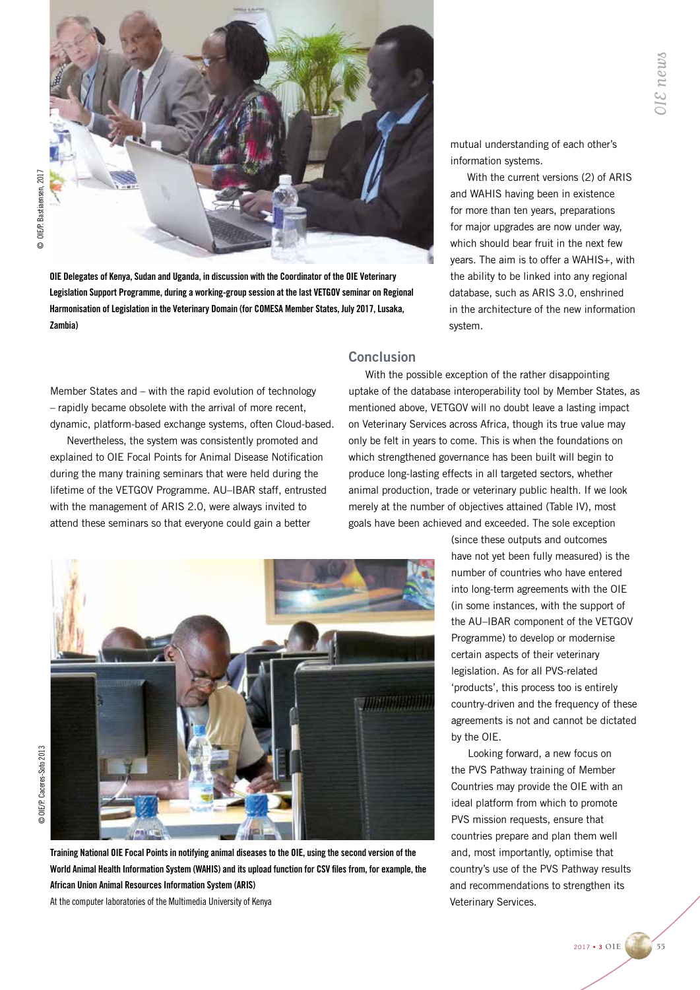

© OIE/P. Bastiaensen, 2017 © OIE/P. Bastiaensen, 2017

> OIE Delegates of Kenya, Sudan and Uganda, in discussion with the Coordinator of the OIE Veterinary Legislation Support Programme, during a working-group session at the last VETGOV seminar on Regional Harmonisation of Legislation in the Veterinary Domain (for COMESA Member States, July 2017, Lusaka, Zambia)

Member States and – with the rapid evolution of technology – rapidly became obsolete with the arrival of more recent, dynamic, platform-based exchange systems, often Cloud-based.

Nevertheless, the system was consistently promoted and explained to OIE Focal Points for Animal Disease Notification during the many training seminars that were held during the lifetime of the VETGOV Programme. AU–IBAR staff, entrusted with the management of ARIS 2.0, were always invited to attend these seminars so that everyone could gain a better

mutual understanding of each other's information systems.

With the current versions (2) of ARIS and WAHIS having been in existence for more than ten years, preparations for major upgrades are now under way, which should bear fruit in the next few years. The aim is to offer a WAHIS+, with the ability to be linked into any regional database, such as ARIS 3.0, enshrined in the architecture of the new information system.

# Conclusion

With the possible exception of the rather disappointing uptake of the database interoperability tool by Member States, as mentioned above, VETGOV will no doubt leave a lasting impact on Veterinary Services across Africa, though its true value may only be felt in years to come. This is when the foundations on which strengthened governance has been built will begin to produce long-lasting effects in all targeted sectors, whether animal production, trade or veterinary public health. If we look merely at the number of objectives attained (Table IV), most goals have been achieved and exceeded. The sole exception



Training National OIE Focal Points in notifying animal diseases to the OIE, using the second version of the World Animal Health Information System (WAHIS) and its upload function for CSV files from, for example, the African Union Animal Resources Information System (ARIS)

At the computer laboratories of the Multimedia University of Kenya

(since these outputs and outcomes have not yet been fully measured) is the number of countries who have entered into long-term agreements with the OIE (in some instances, with the support of the AU–IBAR component of the VETGOV Programme) to develop or modernise certain aspects of their veterinary legislation. As for all PVS-related 'products', this process too is entirely country-driven and the frequency of these agreements is not and cannot be dictated by the OIE.

Looking forward, a new focus on the PVS Pathway training of Member Countries may provide the OIE with an ideal platform from which to promote PVS mission requests, ensure that countries prepare and plan them well and, most importantly, optimise that country's use of the PVS Pathway results and recommendations to strengthen its Veterinary Services.

2017 • 3 **OIE 55**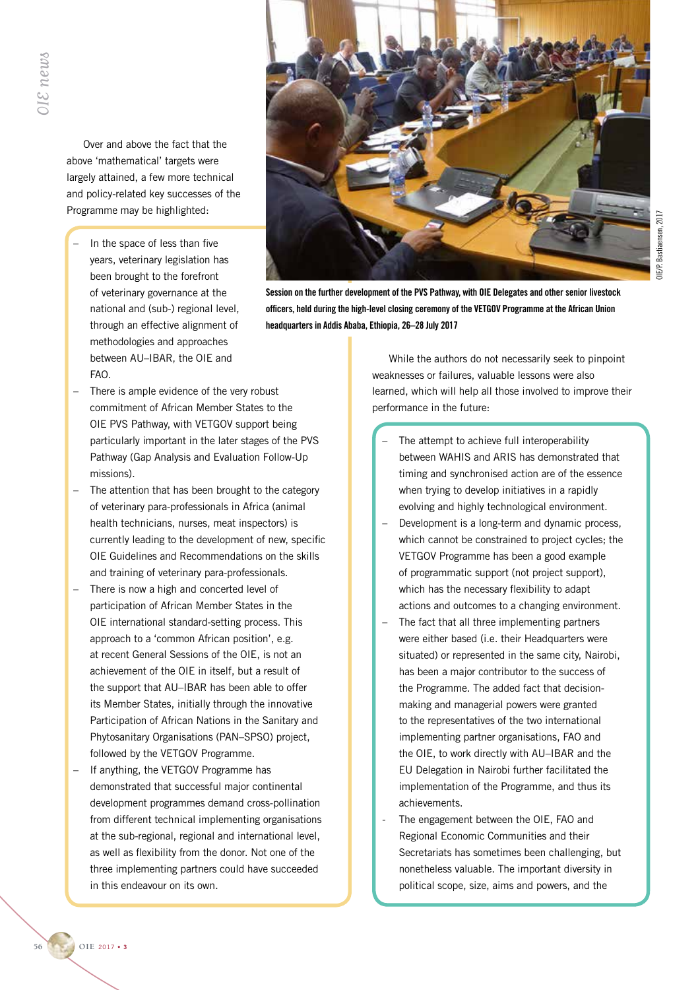Over and above the fact that the above 'mathematical' targets were largely attained, a few more technical and policy-related key successes of the Programme may be highlighted:

In the space of less than five years, veterinary legislation has been brought to the forefront of veterinary governance at the national and (sub-) regional level, through an effective alignment of methodologies and approaches between AU–IBAR, the OIE and FAO.



Session on the further development of the PVS Pathway, with OIE Delegates and other senior livestock officers, held during the high-level closing ceremony of the VETGOV Programme at the African Union headquarters in Addis Ababa, Ethiopia, 26–28 July 2017

- There is ample evidence of the very robust commitment of African Member States to the OIE PVS Pathway, with VETGOV support being particularly important in the later stages of the PVS Pathway (Gap Analysis and Evaluation Follow-Up missions).
- The attention that has been brought to the category of veterinary para-professionals in Africa (animal health technicians, nurses, meat inspectors) is currently leading to the development of new, specific OIE Guidelines and Recommendations on the skills and training of veterinary para-professionals.
- There is now a high and concerted level of participation of African Member States in the OIE international standard-setting process. This approach to a 'common African position', e.g. at recent General Sessions of the OIE, is not an achievement of the OIE in itself, but a result of the support that AU–IBAR has been able to offer its Member States, initially through the innovative Participation of African Nations in the Sanitary and Phytosanitary Organisations (PAN–SPSO) project, followed by the VETGOV Programme.
- If anything, the VETGOV Programme has demonstrated that successful major continental development programmes demand cross-pollination from different technical implementing organisations at the sub-regional, regional and international level, as well as flexibility from the donor. Not one of the three implementing partners could have succeeded in this endeavour on its own.

While the authors do not necessarily seek to pinpoint weaknesses or failures, valuable lessons were also learned, which will help all those involved to improve their performance in the future:

- The attempt to achieve full interoperability between WAHIS and ARIS has demonstrated that timing and synchronised action are of the essence when trying to develop initiatives in a rapidly evolving and highly technological environment.
- Development is a long-term and dynamic process, which cannot be constrained to project cycles; the VETGOV Programme has been a good example of programmatic support (not project support), which has the necessary flexibility to adapt actions and outcomes to a changing environment.
- The fact that all three implementing partners were either based (i.e. their Headquarters were situated) or represented in the same city, Nairobi, has been a major contributor to the success of the Programme. The added fact that decisionmaking and managerial powers were granted to the representatives of the two international implementing partner organisations, FAO and the OIE, to work directly with AU–IBAR and the EU Delegation in Nairobi further facilitated the implementation of the Programme, and thus its achievements.
- The engagement between the OIE, FAO and Regional Economic Communities and their Secretariats has sometimes been challenging, but nonetheless valuable. The important diversity in political scope, size, aims and powers, and the